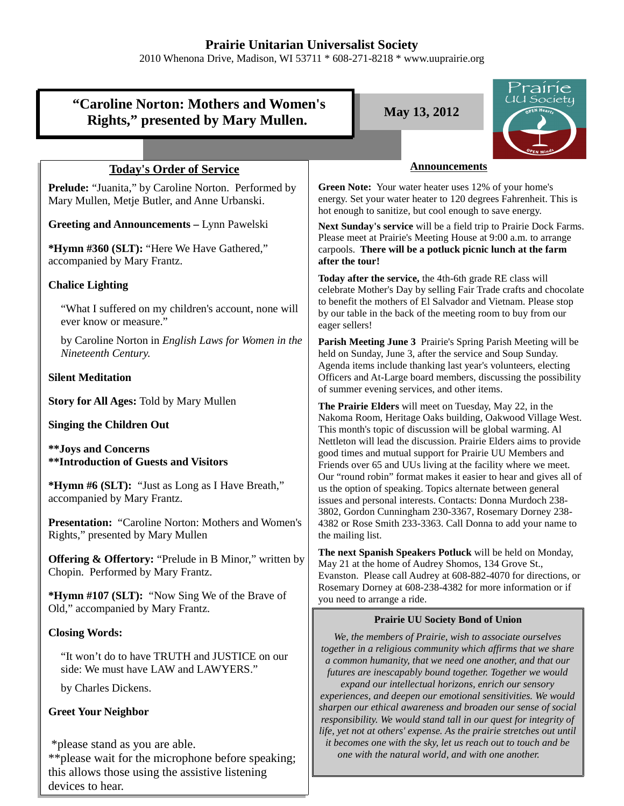## **Prairie Unitarian Universalist Society**

2010 Whenona Drive, Madison, WI 53711 \* 608-271-8218 \* www.uuprairie.org

|                                                                                                                                | Prairie                                                                                                                                                                                                                                                              |
|--------------------------------------------------------------------------------------------------------------------------------|----------------------------------------------------------------------------------------------------------------------------------------------------------------------------------------------------------------------------------------------------------------------|
| UU Society<br>"Caroline Norton: Mothers and Women's<br>May 13, 2012<br>Rights," presented by Mary Mullen.                      |                                                                                                                                                                                                                                                                      |
|                                                                                                                                |                                                                                                                                                                                                                                                                      |
| <b>Today's Order of Service</b>                                                                                                | <b>Announcements</b>                                                                                                                                                                                                                                                 |
| Prelude: "Juanita," by Caroline Norton. Performed by<br>Mary Mullen, Metje Butler, and Anne Urbanski.                          | Green Note: Your water heater uses 12% of your home's<br>energy. Set your water heater to 120 degrees Fahrenheit. This is<br>hot enough to sanitize, but cool enough to save energy.                                                                                 |
| <b>Greeting and Announcements - Lynn Pawelski</b><br>*Hymn #360 (SLT): "Here We Have Gathered,"<br>accompanied by Mary Frantz. | Next Sunday's service will be a field trip to Prairie Dock Farms.<br>Please meet at Prairie's Meeting House at 9:00 a.m. to arrange<br>carpools. There will be a potluck picnic lunch at the farm<br>after the tour!                                                 |
| <b>Chalice Lighting</b><br>"What I suffered on my children's account, none will                                                | Today after the service, the 4th-6th grade RE class will<br>celebrate Mother's Day by selling Fair Trade crafts and chocolate<br>to benefit the mothers of El Salvador and Vietnam. Please stop<br>by our table in the back of the meeting room to buy from our      |
| ever know or measure."                                                                                                         | eager sellers!                                                                                                                                                                                                                                                       |
| by Caroline Norton in English Laws for Women in the<br>Nineteenth Century.                                                     | Parish Meeting June 3 Prairie's Spring Parish Meeting will be<br>held on Sunday, June 3, after the service and Soup Sunday.                                                                                                                                          |
| <b>Silent Meditation</b>                                                                                                       | Agenda items include thanking last year's volunteers, electing<br>Officers and At-Large board members, discussing the possibility<br>of summer evening services, and other items.                                                                                    |
| <b>Story for All Ages: Told by Mary Mullen</b>                                                                                 | The Prairie Elders will meet on Tuesday, May 22, in the<br>Nakoma Room, Heritage Oaks building, Oakwood Village West.                                                                                                                                                |
| <b>Singing the Children Out</b>                                                                                                | This month's topic of discussion will be global warming. Al                                                                                                                                                                                                          |
| <b>**Joys and Concerns</b><br><b>**Introduction of Guests and Visitors</b>                                                     | Nettleton will lead the discussion. Prairie Elders aims to provide<br>good times and mutual support for Prairie UU Members and<br>Friends over 65 and UUs living at the facility where we meet.<br>Our "round robin" format makes it easier to hear and gives all of |
| *Hymn #6 (SLT): "Just as Long as I Have Breath,"<br>accompanied by Mary Frantz.                                                | us the option of speaking. Topics alternate between general<br>issues and personal interests. Contacts: Donna Murdoch 238-<br>3802, Gordon Cunningham 230-3367, Rosemary Dorney 238-                                                                                 |
| <b>Presentation:</b> "Caroline Norton: Mothers and Women's<br>Rights," presented by Mary Mullen                                | 4382 or Rose Smith 233-3363. Call Donna to add your name to<br>the mailing list.                                                                                                                                                                                     |
| <b>Offering &amp; Offertory:</b> "Prelude in B Minor," written by<br>Chopin. Performed by Mary Frantz.                         | The next Spanish Speakers Potluck will be held on Monday,<br>May 21 at the home of Audrey Shomos, 134 Grove St.,<br>Evanston. Please call Audrey at 608-882-4070 for directions, or<br>Rosemary Dorney at 608-238-4382 for more information or if                    |
| <b>*Hymn #107 (SLT):</b> "Now Sing We of the Brave of<br>Old," accompanied by Mary Frantz.                                     | you need to arrange a ride.<br><b>Prairie UU Society Bond of Union</b>                                                                                                                                                                                               |
| <b>Closing Words:</b>                                                                                                          | We, the members of Prairie, wish to associate ourselves                                                                                                                                                                                                              |
| "It won't do to have TRUTH and JUSTICE on our<br>side: We must have LAW and LAWYERS."                                          | together in a religious community which affirms that we share<br>a common humanity, that we need one another, and that our<br>futures are inescapably bound together. Together we would                                                                              |
| by Charles Dickens.                                                                                                            | expand our intellectual horizons, enrich our sensory<br>experiences, and deepen our emotional sensitivities. We would                                                                                                                                                |
| <b>Greet Your Neighbor</b>                                                                                                     | sharpen our ethical awareness and broaden our sense of social<br>responsibility. We would stand tall in our quest for integrity of<br>life, yet not at others' expense. As the prairie stretches out until                                                           |
| *please stand as you are able.<br>$*$ please wait for the microphone before speaking:                                          | it becomes one with the sky, let us reach out to touch and be<br>one with the natural world, and with one another.                                                                                                                                                   |

\*\*please wait for the microphone before speaking; this allows those using the assistive listening devices to hear.